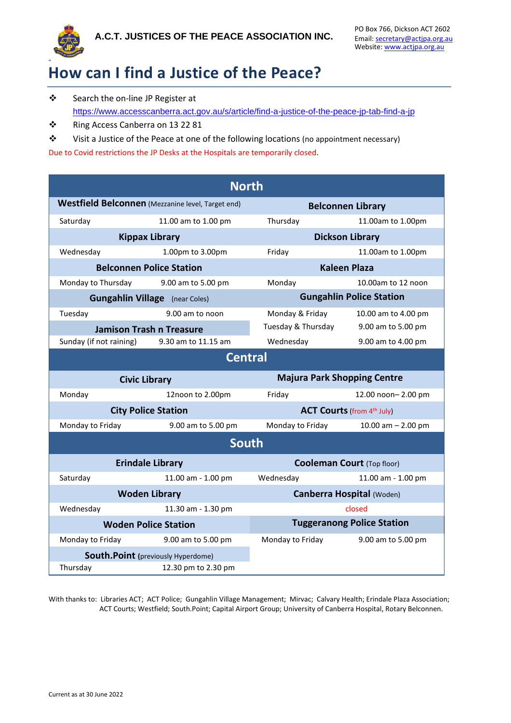

## **How can I find a Justice of the Peace?**

- ❖ Search the on-line JP Register at <https://www.accesscanberra.act.gov.au/s/article/find-a-justice-of-the-peace-jp-tab-find-a-jp>
- ❖ Ring Access Canberra on 13 22 81
- ❖ Visit a Justice of the Peace at one of the following locations (no appointment necessary)

Due to Covid restrictions the JP Desks at the Hospitals are temporarily closed.

| <b>North</b>                                             |                     |                                    |                      |  |
|----------------------------------------------------------|---------------------|------------------------------------|----------------------|--|
| <b>Westfield Belconnen</b> (Mezzanine level, Target end) |                     | <b>Belconnen Library</b>           |                      |  |
| Saturday                                                 | 11.00 am to 1.00 pm | Thursday                           | 11.00am to 1.00pm    |  |
| <b>Kippax Library</b>                                    |                     | <b>Dickson Library</b>             |                      |  |
| Wednesday                                                | 1.00pm to 3.00pm    | Friday                             | 11.00am to 1.00pm    |  |
| <b>Belconnen Police Station</b>                          |                     | <b>Kaleen Plaza</b>                |                      |  |
| Monday to Thursday 9.00 am to 5.00 pm                    |                     | Monday                             | 10.00am to 12 noon   |  |
| <b>Gungahlin Village</b> (near Coles)                    |                     | <b>Gungahlin Police Station</b>    |                      |  |
| Tuesday                                                  | 9.00 am to noon     | Monday & Friday                    | 10.00 am to 4.00 pm  |  |
| <b>Jamison Trash n Treasure</b>                          |                     | Tuesday & Thursday                 | 9.00 am to 5.00 pm   |  |
| Sunday (if not raining)                                  | 9.30 am to 11.15 am | Wednesday                          | 9.00 am to 4.00 pm   |  |
| <b>Central</b>                                           |                     |                                    |                      |  |
| <b>Civic Library</b>                                     |                     | <b>Majura Park Shopping Centre</b> |                      |  |
| Monday                                                   | 12noon to 2.00pm    | Friday                             | 12.00 noon-2.00 pm   |  |
| <b>City Police Station</b>                               |                     | <b>ACT Courts (from 4th July)</b>  |                      |  |
| Monday to Friday                                         | 9.00 am to 5.00 pm  | Monday to Friday                   | 10.00 am $- 2.00$ pm |  |
| <b>South</b>                                             |                     |                                    |                      |  |
| <b>Erindale Library</b>                                  |                     | <b>Cooleman Court (Top floor)</b>  |                      |  |
| Saturday                                                 | 11.00 am - 1.00 pm  | Wednesday                          | 11.00 am - 1.00 pm   |  |
| <b>Woden Library</b>                                     |                     | <b>Canberra Hospital (Woden)</b>   |                      |  |
| Wednesday                                                | 11.30 am - 1.30 pm  |                                    | closed               |  |
| <b>Woden Police Station</b>                              |                     | <b>Tuggeranong Police Station</b>  |                      |  |
| Monday to Friday                                         | 9.00 am to 5.00 pm  | Monday to Friday                   | 9.00 am to 5.00 pm   |  |
| <b>South.Point</b> (previously Hyperdome)                |                     |                                    |                      |  |
| Thursday                                                 | 12.30 pm to 2.30 pm |                                    |                      |  |

With thanks to: Libraries ACT; ACT Police; Gungahlin Village Management; Mirvac; Calvary Health; Erindale Plaza Association; ACT Courts; Westfield; South.Point; Capital Airport Group; University of Canberra Hospital, Rotary Belconnen.